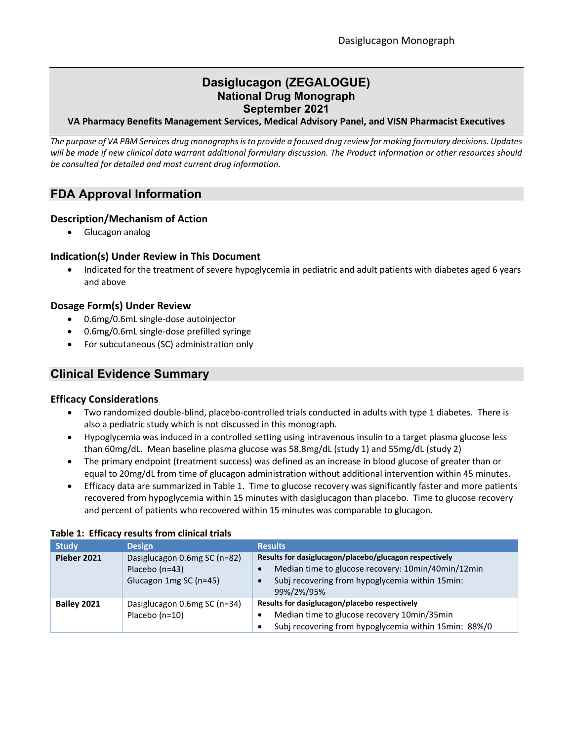# **Dasiglucagon (ZEGALOGUE) National Drug Monograph September 2021**

## **VA Pharmacy Benefits Management Services, Medical Advisory Panel, and VISN Pharmacist Executives**

*The purpose of VA PBM Services drug monographs is to provide a focused drug review for making formulary decisions. Updates will be made if new clinical data warrant additional formulary discussion. The Product Information or other resources should be consulted for detailed and most current drug information.*

# **FDA Approval Information**

### **Description/Mechanism of Action**

• Glucagon analog

## **Indication(s) Under Review in This Document**

• Indicated for the treatment of severe hypoglycemia in pediatric and adult patients with diabetes aged 6 years and above

### **Dosage Form(s) Under Review**

- 0.6mg/0.6mL single-dose autoinjector
- 0.6mg/0.6mL single-dose prefilled syringe
- For subcutaneous (SC) administration only

# **Clinical Evidence Summary**

#### **Efficacy Considerations**

- Two randomized double-blind, placebo-controlled trials conducted in adults with type 1 diabetes. There is also a pediatric study which is not discussed in this monograph.
- Hypoglycemia was induced in a controlled setting using intravenous insulin to a target plasma glucose less than 60mg/dL. Mean baseline plasma glucose was 58.8mg/dL (study 1) and 55mg/dL (study 2)
- The primary endpoint (treatment success) was defined as an increase in blood glucose of greater than or equal to 20mg/dL from time of glucagon administration without additional intervention within 45 minutes.
- Efficacy data are summarized in Table 1. Time to glucose recovery was significantly faster and more patients recovered from hypoglycemia within 15 minutes with dasiglucagon than placebo. Time to glucose recovery and percent of patients who recovered within 15 minutes was comparable to glucagon.

| <b>Study</b>       | <b>Design</b>                                                            | <b>Results</b>                                                                                                                                                                |
|--------------------|--------------------------------------------------------------------------|-------------------------------------------------------------------------------------------------------------------------------------------------------------------------------|
| <b>Pieber 2021</b> | Dasiglucagon 0.6mg SC (n=82)<br>Placebo (n=43)<br>Glucagon 1mg SC (n=45) | Results for dasiglucagon/placebo/glucagon respectively<br>Median time to glucose recovery: 10min/40min/12min<br>Subj recovering from hypoglycemia within 15min:<br>99%/2%/95% |
| Bailey 2021        | Dasiglucagon 0.6mg SC (n=34)<br>Placebo (n=10)                           | Results for dasiglucagon/placebo respectively<br>Median time to glucose recovery 10min/35min<br>Subj recovering from hypoglycemia within 15min: 88%/0                         |

#### **Table 1: Efficacy results from clinical trials**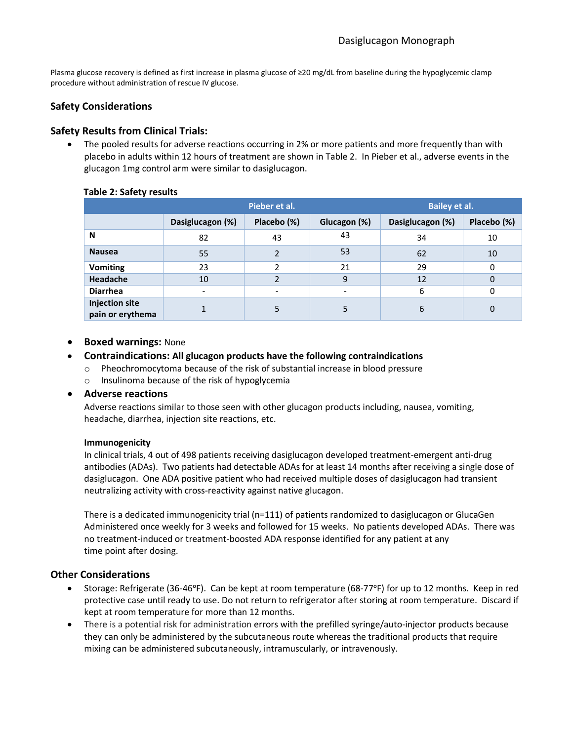Plasma glucose recovery is defined as first increase in plasma glucose of ≥20 mg/dL from baseline during the hypoglycemic clamp procedure without administration of rescue IV glucose.

# **Safety Considerations**

# **Safety Results from Clinical Trials:**

The pooled results for adverse reactions occurring in 2% or more patients and more frequently than with placebo in adults within 12 hours of treatment are shown in Table 2. In Pieber et al., adverse events in the glucagon 1mg control arm were similar to dasiglucagon.

| __________                                |                          |                |                          |                  |             |
|-------------------------------------------|--------------------------|----------------|--------------------------|------------------|-------------|
|                                           | Pieber et al.            |                |                          | Bailey et al.    |             |
|                                           | Dasiglucagon (%)         | Placebo (%)    | Glucagon (%)             | Dasiglucagon (%) | Placebo (%) |
| N                                         | 82                       | 43             | 43                       | 34               | 10          |
| <b>Nausea</b>                             | 55                       | $\mathcal{P}$  | 53                       | 62               | 10          |
| <b>Vomiting</b>                           | 23                       | $\mathfrak{p}$ | 21                       | 29               | $\Omega$    |
| <b>Headache</b>                           | 10                       |                | 9                        | 12               | $\mathbf 0$ |
| <b>Diarrhea</b>                           | $\overline{\phantom{0}}$ |                | $\overline{\phantom{a}}$ | 6                | 0           |
| <b>Injection site</b><br>pain or erythema |                          | 5              | 5                        | 6                | 0           |

### **Table 2: Safety results**

## • **Boxed warnings:** None

## • **Contraindications: All glucagon products have the following contraindications**

- $\circ$  Pheochromocytoma because of the risk of substantial increase in blood pressure
- o Insulinoma because of the risk of hypoglycemia

#### • **Adverse reactions**

Adverse reactions similar to those seen with other glucagon products including, nausea, vomiting, headache, diarrhea, injection site reactions, etc.

#### **Immunogenicity**

In clinical trials, 4 out of 498 patients receiving dasiglucagon developed treatment-emergent anti-drug antibodies (ADAs). Two patients had detectable ADAs for at least 14 months after receiving a single dose of dasiglucagon. One ADA positive patient who had received multiple doses of dasiglucagon had transient neutralizing activity with cross-reactivity against native glucagon.

There is a dedicated immunogenicity trial (n=111) of patients randomized to dasiglucagon or GlucaGen Administered once weekly for 3 weeks and followed for 15 weeks. No patients developed ADAs. There was no treatment-induced or treatment-boosted ADA response identified for any patient at any time point after dosing.

## **Other Considerations**

- Storage: Refrigerate (36-46°F). Can be kept at room temperature (68-77°F) for up to 12 months. Keep in red protective case until ready to use. Do not return to refrigerator after storing at room temperature. Discard if kept at room temperature for more than 12 months.
- There is a potential risk for administration errors with the prefilled syringe/auto-injector products because they can only be administered by the subcutaneous route whereas the traditional products that require mixing can be administered subcutaneously, intramuscularly, or intravenously.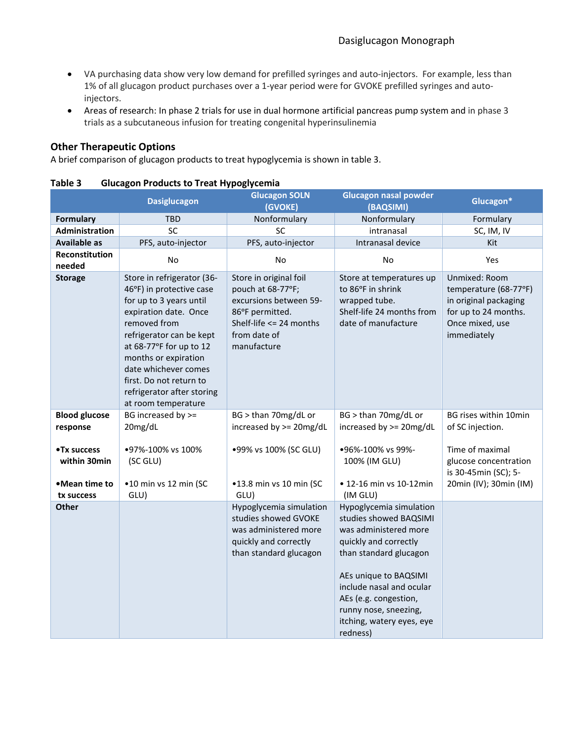- VA purchasing data show very low demand for prefilled syringes and auto-injectors. For example, less than 1% of all glucagon product purchases over a 1-year period were for GVOKE prefilled syringes and autoinjectors.
- Areas of research: In phase 2 trials for use in dual hormone artificial pancreas pump system and in phase 3 trials as a subcutaneous infusion for treating congenital hyperinsulinemia

# **Other Therapeutic Options**

A brief comparison of glucagon products to treat hypoglycemia is shown in table 3.

|                                  | <b>Dasiglucagon</b>                                                                                                                                                                                                                                                                                               | <b>Glucagon SOLN</b><br>(GVOKE)                                                                                                                    | <b>Glucagon nasal powder</b><br>(BAQSIMI)                                                                                                                                                                                                                                     | Glucagon*                                                                                                                 |
|----------------------------------|-------------------------------------------------------------------------------------------------------------------------------------------------------------------------------------------------------------------------------------------------------------------------------------------------------------------|----------------------------------------------------------------------------------------------------------------------------------------------------|-------------------------------------------------------------------------------------------------------------------------------------------------------------------------------------------------------------------------------------------------------------------------------|---------------------------------------------------------------------------------------------------------------------------|
| <b>Formulary</b>                 | <b>TBD</b>                                                                                                                                                                                                                                                                                                        | Nonformulary                                                                                                                                       | Nonformulary                                                                                                                                                                                                                                                                  | Formulary                                                                                                                 |
| Administration                   | <b>SC</b>                                                                                                                                                                                                                                                                                                         | <b>SC</b>                                                                                                                                          | intranasal                                                                                                                                                                                                                                                                    | SC, IM, IV                                                                                                                |
| <b>Available as</b>              | PFS, auto-injector                                                                                                                                                                                                                                                                                                | PFS, auto-injector                                                                                                                                 | Intranasal device                                                                                                                                                                                                                                                             | Kit                                                                                                                       |
| Reconstitution<br>needed         | No                                                                                                                                                                                                                                                                                                                | No                                                                                                                                                 | No                                                                                                                                                                                                                                                                            | Yes                                                                                                                       |
| <b>Storage</b>                   | Store in refrigerator (36-<br>46°F) in protective case<br>for up to 3 years until<br>expiration date. Once<br>removed from<br>refrigerator can be kept<br>at 68-77°F for up to 12<br>months or expiration<br>date whichever comes<br>first. Do not return to<br>refrigerator after storing<br>at room temperature | Store in original foil<br>pouch at 68-77°F;<br>excursions between 59-<br>86°F permitted.<br>Shelf-life <= 24 months<br>from date of<br>manufacture | Store at temperatures up<br>to 86°F in shrink<br>wrapped tube.<br>Shelf-life 24 months from<br>date of manufacture                                                                                                                                                            | Unmixed: Room<br>temperature (68-77°F)<br>in original packaging<br>for up to 24 months.<br>Once mixed, use<br>immediately |
| <b>Blood glucose</b><br>response | BG increased by $>=$<br>20mg/dL                                                                                                                                                                                                                                                                                   | BG > than 70mg/dL or<br>increased by >= 20mg/dL                                                                                                    | BG > than 70mg/dL or<br>increased by >= 20mg/dL                                                                                                                                                                                                                               | BG rises within 10min<br>of SC injection.                                                                                 |
| •Tx success<br>within 30min      | •97%-100% vs 100%<br>(SC GLU)                                                                                                                                                                                                                                                                                     | •99% vs 100% (SC GLU)                                                                                                                              | •96%-100% vs 99%-<br>100% (IM GLU)                                                                                                                                                                                                                                            | Time of maximal<br>glucose concentration<br>is 30-45min (SC); 5-                                                          |
| •Mean time to<br>tx success      | •10 min vs 12 min (SC<br>GLU)                                                                                                                                                                                                                                                                                     | •13.8 min vs 10 min (SC<br>GLU)                                                                                                                    | • 12-16 min vs 10-12min<br>(IM GLU)                                                                                                                                                                                                                                           | 20min (IV); 30min (IM)                                                                                                    |
| <b>Other</b>                     |                                                                                                                                                                                                                                                                                                                   | Hypoglycemia simulation<br>studies showed GVOKE<br>was administered more<br>quickly and correctly<br>than standard glucagon                        | Hypoglycemia simulation<br>studies showed BAQSIMI<br>was administered more<br>quickly and correctly<br>than standard glucagon<br>AEs unique to BAQSIMI<br>include nasal and ocular<br>AEs (e.g. congestion,<br>runny nose, sneezing,<br>itching, watery eyes, eye<br>redness) |                                                                                                                           |

# **Table 3 Glucagon Products to Treat Hypoglycemia**